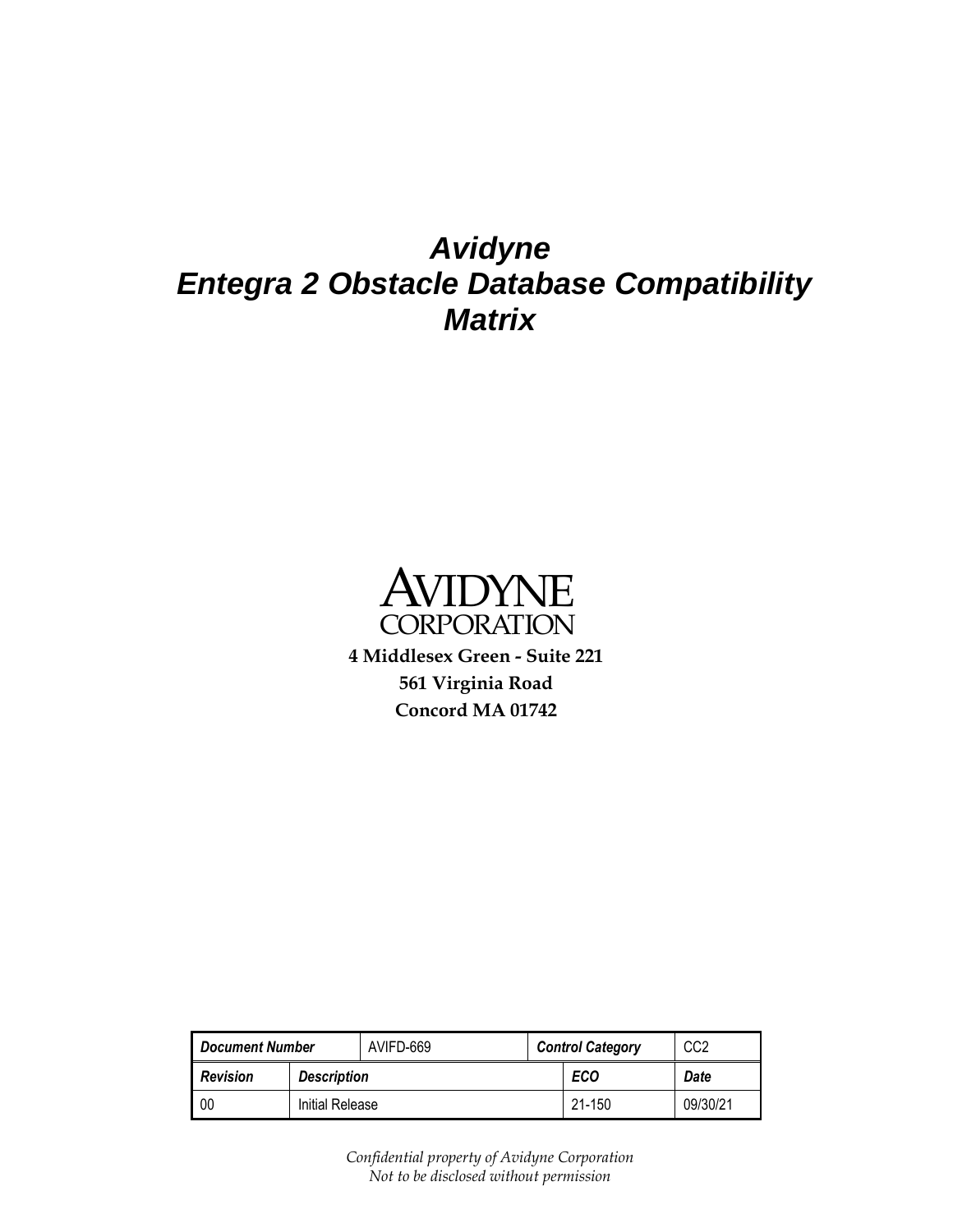## *Avidyne Entegra 2 Obstacle Database Compatibility Matrix*



**4 Middlesex Green - Suite 221 561 Virginia Road Concord MA 01742**

<span id="page-0-0"></span>

| <b>Document Number</b>                |                 | AVIFD-669 |     | <b>Control Category</b> | CC2      |
|---------------------------------------|-----------------|-----------|-----|-------------------------|----------|
| <b>Revision</b><br><b>Description</b> |                 |           | ECO | Date                    |          |
| 00                                    | Initial Release |           |     | $21 - 150$              | 09/30/21 |

<span id="page-0-1"></span>*Confidential property of Avidyne Corporation Not to be disclosed without permission*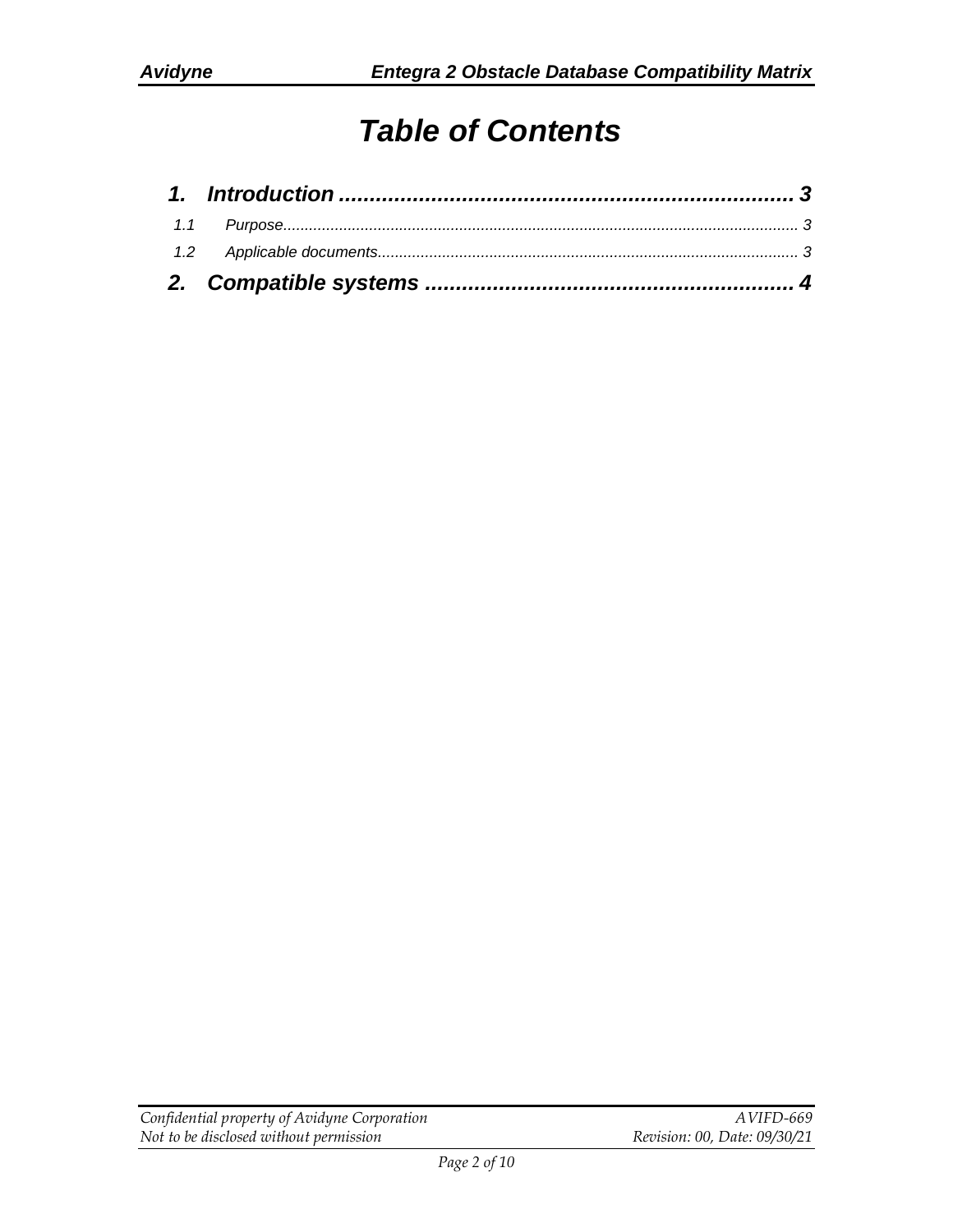# *Table of Contents*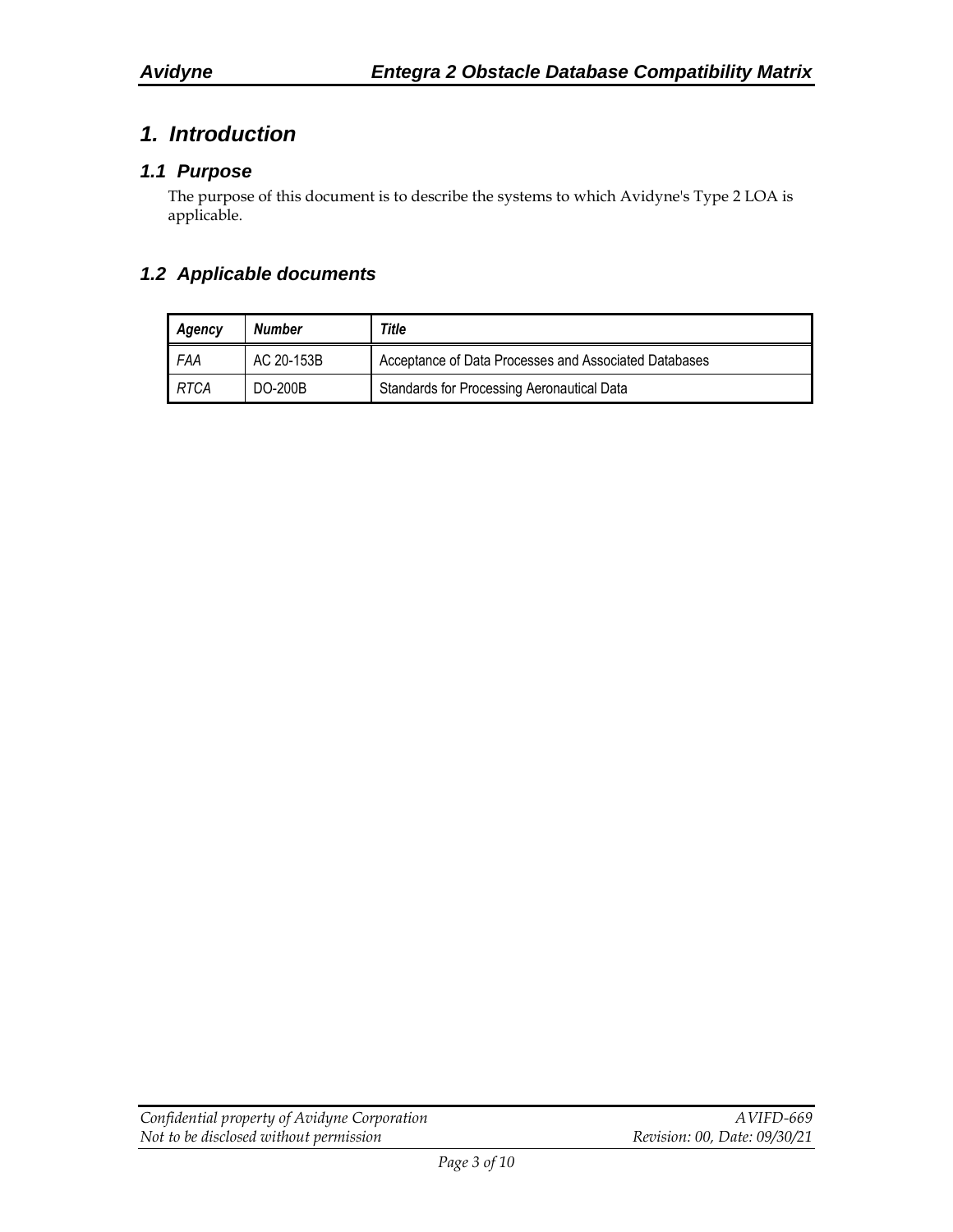## <span id="page-2-0"></span>*1. Introduction*

#### <span id="page-2-1"></span>*1.1 Purpose*

The purpose of this document is to describe the systems to which Avidyne's Type 2 LOA is applicable.

#### <span id="page-2-2"></span>*1.2 Applicable documents*

| Agency | Number         | Title                                                 |  |  |  |
|--------|----------------|-------------------------------------------------------|--|--|--|
| FAA    | AC 20-153B     | Acceptance of Data Processes and Associated Databases |  |  |  |
| RTCA   | <b>DO-200B</b> | Standards for Processing Aeronautical Data            |  |  |  |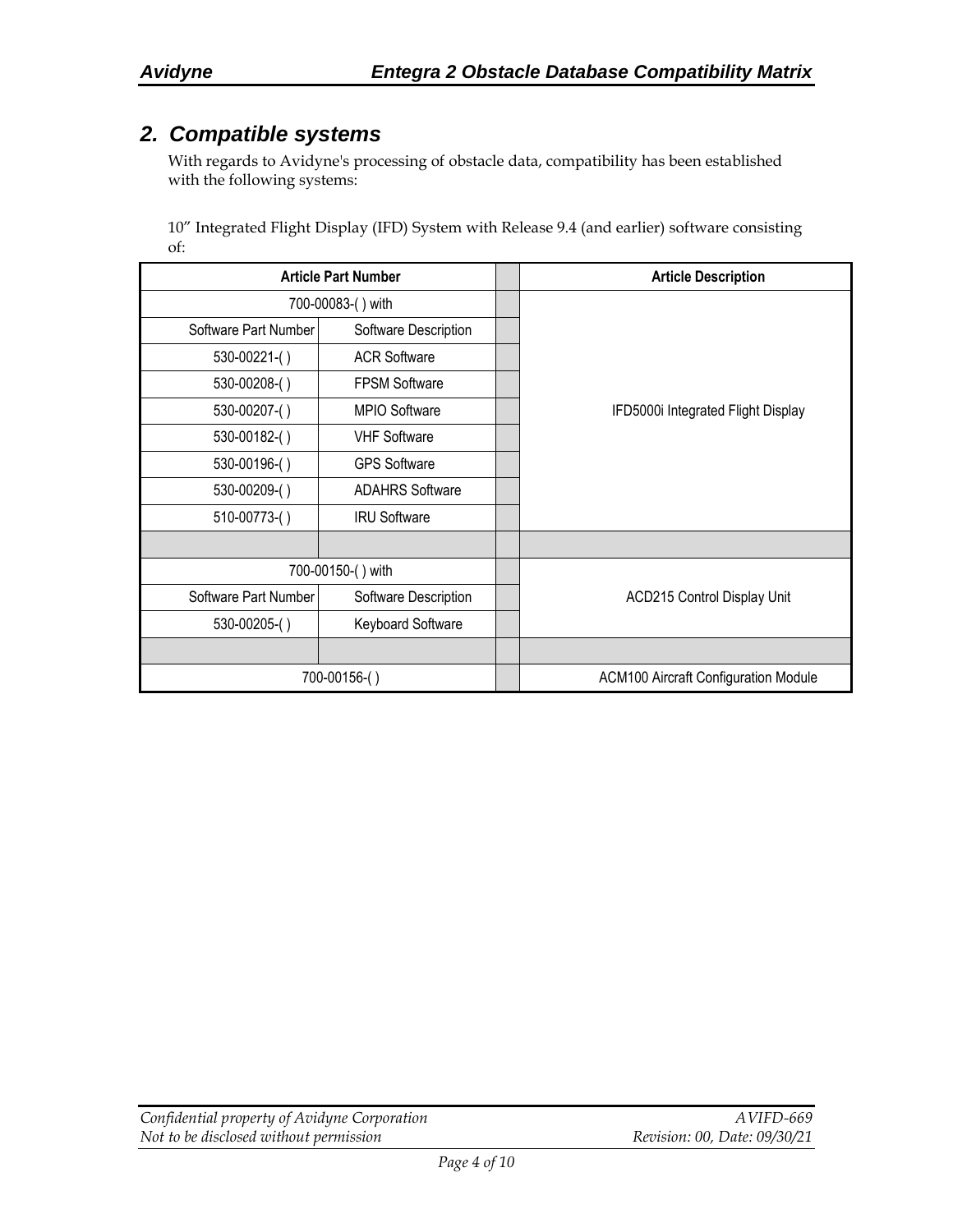### <span id="page-3-0"></span>*2. Compatible systems*

With regards to Avidyne's processing of obstacle data, compatibility has been established with the following systems:

10" Integrated Flight Display (IFD) System with Release 9.4 (and earlier) software consisting of:

| <b>Article Part Number</b> |                        |  | <b>Article Description</b>                  |
|----------------------------|------------------------|--|---------------------------------------------|
|                            | 700-00083-() with      |  |                                             |
| Software Part Number       | Software Description   |  |                                             |
| $530-00221$ - $()$         | <b>ACR Software</b>    |  |                                             |
| 530-00208-()               | <b>FPSM Software</b>   |  |                                             |
| 530-00207-()               | MPIO Software          |  | IFD5000i Integrated Flight Display          |
| 530-00182-()               | <b>VHF Software</b>    |  |                                             |
| 530-00196-()               | <b>GPS Software</b>    |  |                                             |
| 530-00209-()               | <b>ADAHRS Software</b> |  |                                             |
| 510-00773-()               | <b>IRU Software</b>    |  |                                             |
|                            |                        |  |                                             |
|                            | 700-00150-() with      |  |                                             |
| Software Part Number       | Software Description   |  | ACD215 Control Display Unit                 |
| 530-00205-()               | Keyboard Software      |  |                                             |
|                            |                        |  |                                             |
|                            | 700-00156-()           |  | <b>ACM100 Aircraft Configuration Module</b> |

| Confidential property of Avidyne Corporation | AVIFD-669                    |
|----------------------------------------------|------------------------------|
| Not to be disclosed without permission       | Revision: 00, Date: 09/30/21 |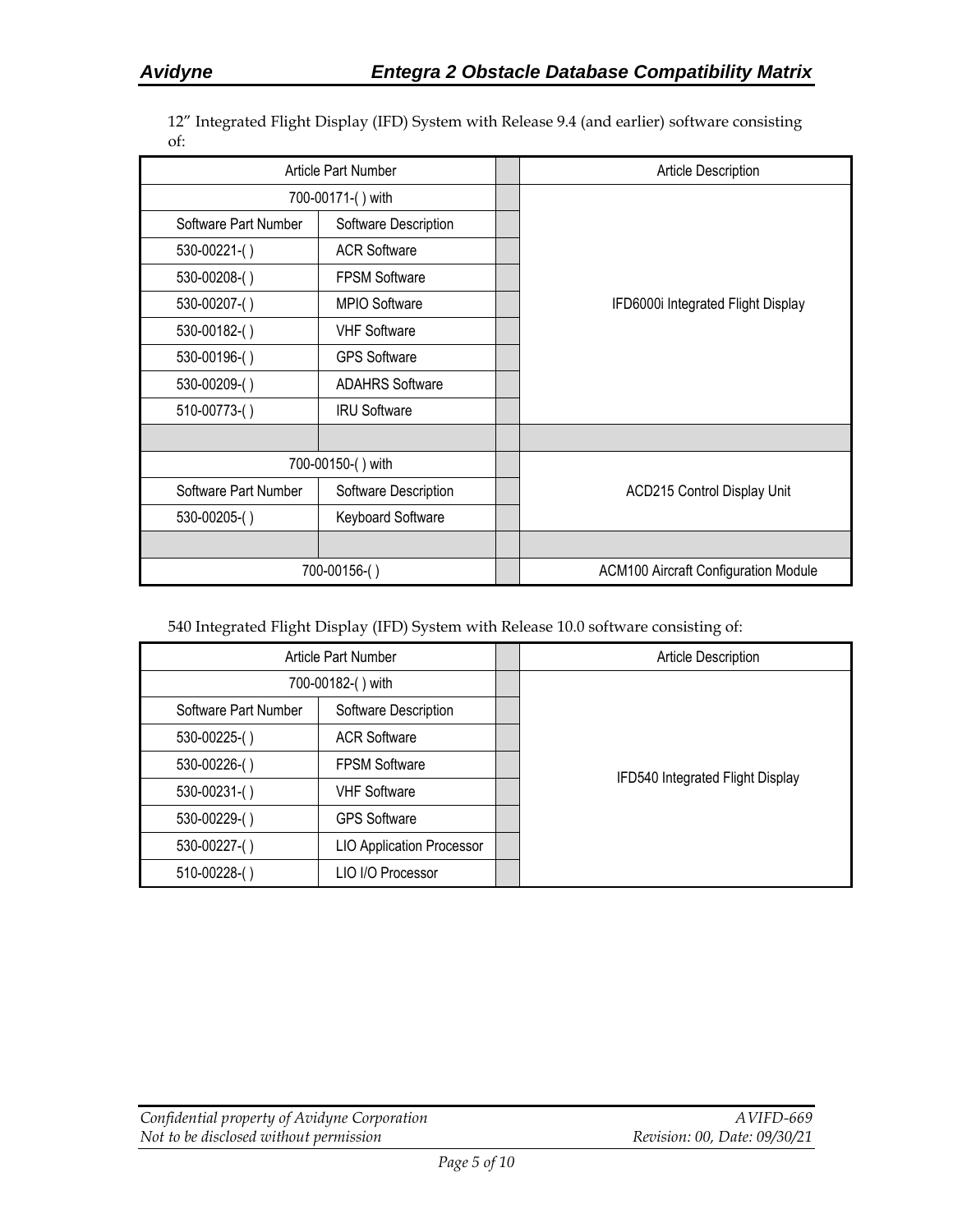12" Integrated Flight Display (IFD) System with Release 9.4 (and earlier) software consisting of:

| Article Part Number  |                        | <b>Article Description</b>                  |
|----------------------|------------------------|---------------------------------------------|
| 700-00171-() with    |                        |                                             |
| Software Part Number | Software Description   |                                             |
| $530-00221$ - $()$   | <b>ACR Software</b>    |                                             |
| 530-00208-()         | <b>FPSM Software</b>   |                                             |
| 530-00207-()         | MPIO Software          | IFD6000i Integrated Flight Display          |
| 530-00182-()         | <b>VHF Software</b>    |                                             |
| 530-00196-()         | <b>GPS Software</b>    |                                             |
| 530-00209-()         | <b>ADAHRS Software</b> |                                             |
| 510-00773-()         | <b>IRU Software</b>    |                                             |
|                      |                        |                                             |
|                      | 700-00150-() with      |                                             |
| Software Part Number | Software Description   | <b>ACD215 Control Display Unit</b>          |
| 530-00205-()         | Keyboard Software      |                                             |
|                      |                        |                                             |
|                      | 700-00156-()           | <b>ACM100 Aircraft Configuration Module</b> |

540 Integrated Flight Display (IFD) System with Release 10.0 software consisting of:

| Article Part Number  |                                  | Article Description              |
|----------------------|----------------------------------|----------------------------------|
| 700-00182-() with    |                                  |                                  |
| Software Part Number | Software Description             |                                  |
| 530-00225-()         | <b>ACR Software</b>              |                                  |
| 530-00226-()         | <b>FPSM Software</b>             |                                  |
| 530-00231-()         | <b>VHF Software</b>              | IFD540 Integrated Flight Display |
| 530-00229-()         | <b>GPS Software</b>              |                                  |
| 530-00227-()         | <b>LIO Application Processor</b> |                                  |
| 510-00228-()         | LIO I/O Processor                |                                  |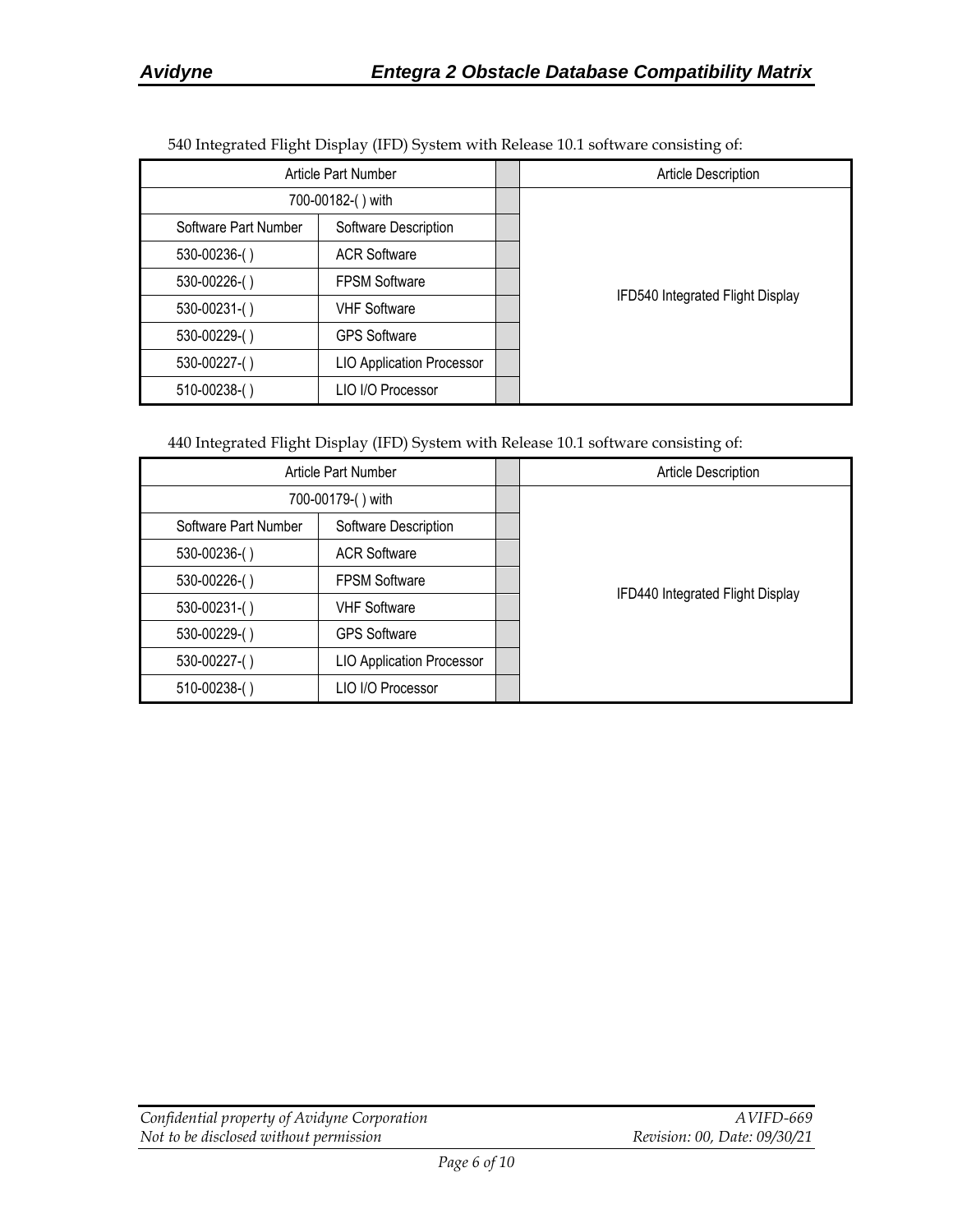| $\epsilon$           | $1 \quad 1 \quad 1 \quad 1 \quad 1$ | $\epsilon$                       |
|----------------------|-------------------------------------|----------------------------------|
| Article Part Number  |                                     | Article Description              |
| 700-00182-() with    |                                     |                                  |
| Software Part Number | Software Description                |                                  |
| 530-00236-()         | <b>ACR Software</b>                 |                                  |
| 530-00226-()         | <b>FPSM Software</b>                |                                  |
| $530 - 00231$ -()    | <b>VHF Software</b>                 | IFD540 Integrated Flight Display |
| 530-00229-()         | <b>GPS Software</b>                 |                                  |
| 530-00227-()         | <b>LIO Application Processor</b>    |                                  |
| $510-00238$ - $()$   | LIO I/O Processor                   |                                  |

540 Integrated Flight Display (IFD) System with Release 10.1 software consisting of:

440 Integrated Flight Display (IFD) System with Release 10.1 software consisting of:

| <b>Article Part Number</b> |                                  | Article Description              |
|----------------------------|----------------------------------|----------------------------------|
| 700-00179-() with          |                                  |                                  |
| Software Part Number       | Software Description             |                                  |
| 530-00236-()               | <b>ACR Software</b>              |                                  |
| 530-00226-()               | <b>FPSM Software</b>             |                                  |
| $530 - 00231 - ( )$        | <b>VHF Software</b>              | IFD440 Integrated Flight Display |
| 530-00229-()               | <b>GPS Software</b>              |                                  |
| 530-00227-()               | <b>LIO Application Processor</b> |                                  |
| 510-00238-()               | LIO I/O Processor                |                                  |

| Confidential property of Avidyne Corporation | AVIFD-669                    |
|----------------------------------------------|------------------------------|
| Not to be disclosed without permission       | Revision: 00, Date: 09/30/21 |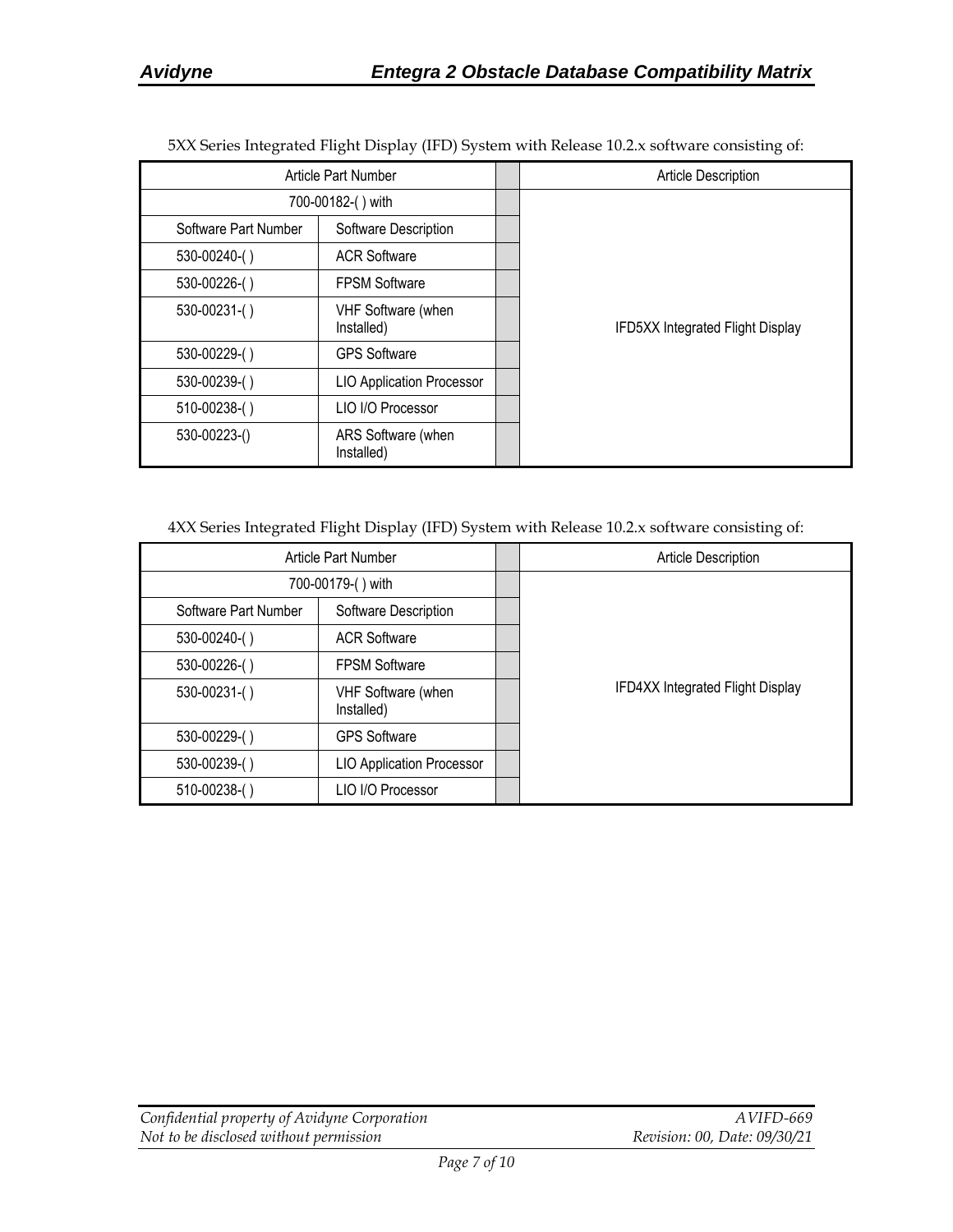| Article Part Number  |                                  |  | <b>Article Description</b>       |
|----------------------|----------------------------------|--|----------------------------------|
|                      | 700-00182-() with                |  |                                  |
| Software Part Number | Software Description             |  |                                  |
| 530-00240-()         | <b>ACR Software</b>              |  |                                  |
| 530-00226-()         | <b>FPSM Software</b>             |  |                                  |
| 530-00231-()         | VHF Software (when<br>Installed) |  | IFD5XX Integrated Flight Display |
| 530-00229-()         | <b>GPS Software</b>              |  |                                  |
| 530-00239-()         | <b>LIO Application Processor</b> |  |                                  |
| 510-00238-()         | LIO I/O Processor                |  |                                  |
| 530-00223-()         | ARS Software (when<br>Installed) |  |                                  |

5XX Series Integrated Flight Display (IFD) System with Release 10.2.x software consisting of:

4XX Series Integrated Flight Display (IFD) System with Release 10.2.x software consisting of:

| Article Part Number  |                                         |  | <b>Article Description</b>       |
|----------------------|-----------------------------------------|--|----------------------------------|
|                      | 700-00179-() with                       |  |                                  |
| Software Part Number | Software Description                    |  |                                  |
| 530-00240-()         | <b>ACR Software</b>                     |  |                                  |
| 530-00226-()         | <b>FPSM Software</b>                    |  |                                  |
| 530-00231-()         | <b>VHF Software (when</b><br>Installed) |  | IFD4XX Integrated Flight Display |
| 530-00229-()         | <b>GPS Software</b>                     |  |                                  |
| 530-00239-()         | <b>LIO Application Processor</b>        |  |                                  |
| $510-00238$ - $()$   | LIO I/O Processor                       |  |                                  |

| Confidential property of Avidyne Corporation | AVIFD-669                    |
|----------------------------------------------|------------------------------|
| Not to be disclosed without permission       | Revision: 00, Date: 09/30/21 |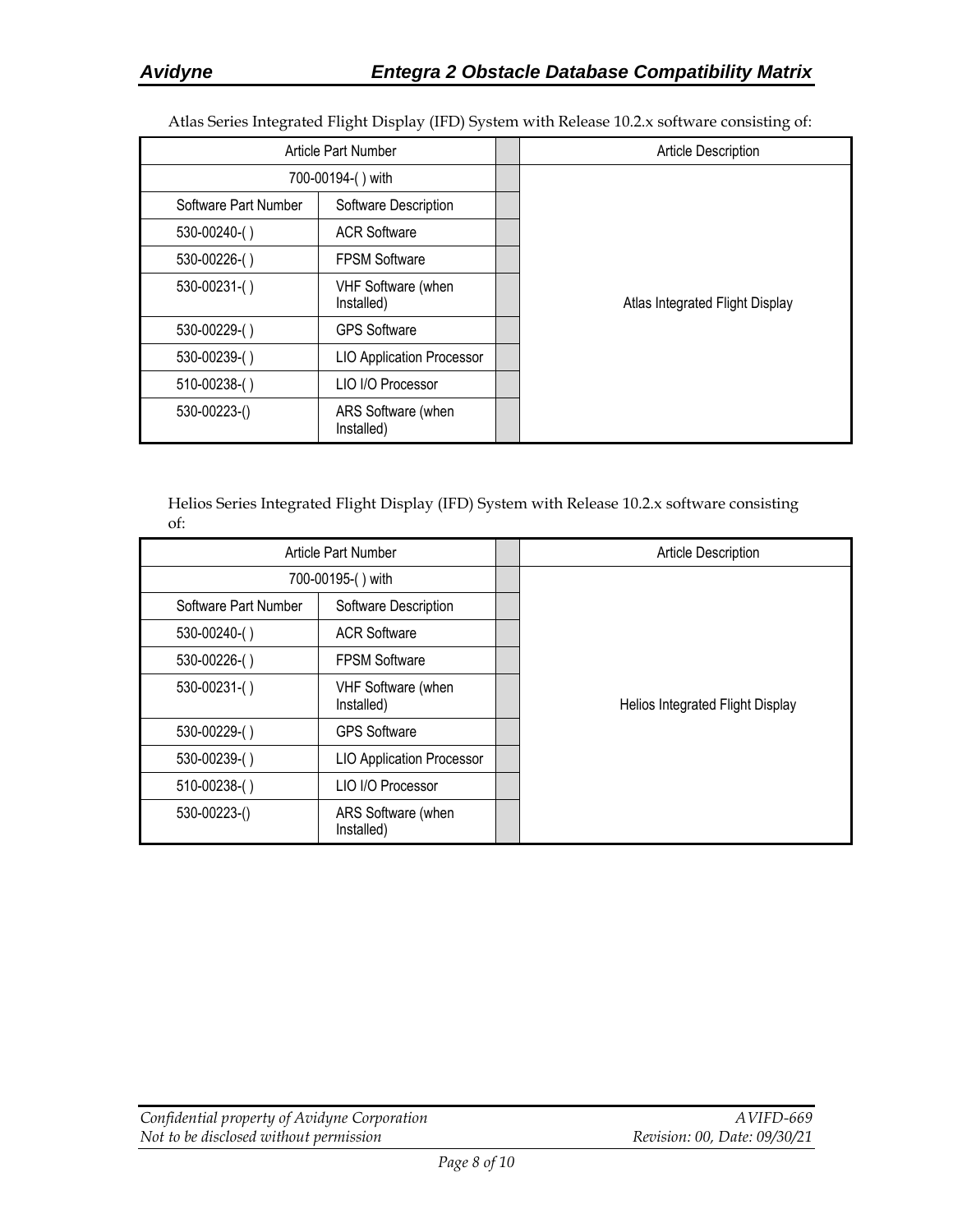Atlas Series Integrated Flight Display (IFD) System with Release 10.2.x software consisting of:

|                      | Article Part Number              | Article Description             |
|----------------------|----------------------------------|---------------------------------|
|                      | 700-00194-() with                |                                 |
| Software Part Number | Software Description             |                                 |
| $530 - 00240$ -()    | <b>ACR Software</b>              |                                 |
| 530-00226-()         | <b>FPSM Software</b>             |                                 |
| 530-00231-()         | VHF Software (when<br>Installed) | Atlas Integrated Flight Display |
| 530-00229-()         | <b>GPS Software</b>              |                                 |
| 530-00239-()         | <b>LIO Application Processor</b> |                                 |
| 510-00238-()         | LIO I/O Processor                |                                 |
| 530-00223-()         | ARS Software (when<br>Installed) |                                 |

Helios Series Integrated Flight Display (IFD) System with Release 10.2.x software consisting of:

|                      | Article Part Number              | <b>Article Description</b>       |
|----------------------|----------------------------------|----------------------------------|
|                      | 700-00195-() with                |                                  |
| Software Part Number | Software Description             |                                  |
| $530-00240$ - $()$   | <b>ACR Software</b>              |                                  |
| 530-00226-()         | <b>FPSM Software</b>             |                                  |
| 530-00231-()         | VHF Software (when<br>Installed) | Helios Integrated Flight Display |
| 530-00229-()         | <b>GPS Software</b>              |                                  |
| 530-00239-()         | <b>LIO Application Processor</b> |                                  |
| 510-00238-()         | LIO I/O Processor                |                                  |
| 530-00223-()         | ARS Software (when<br>Installed) |                                  |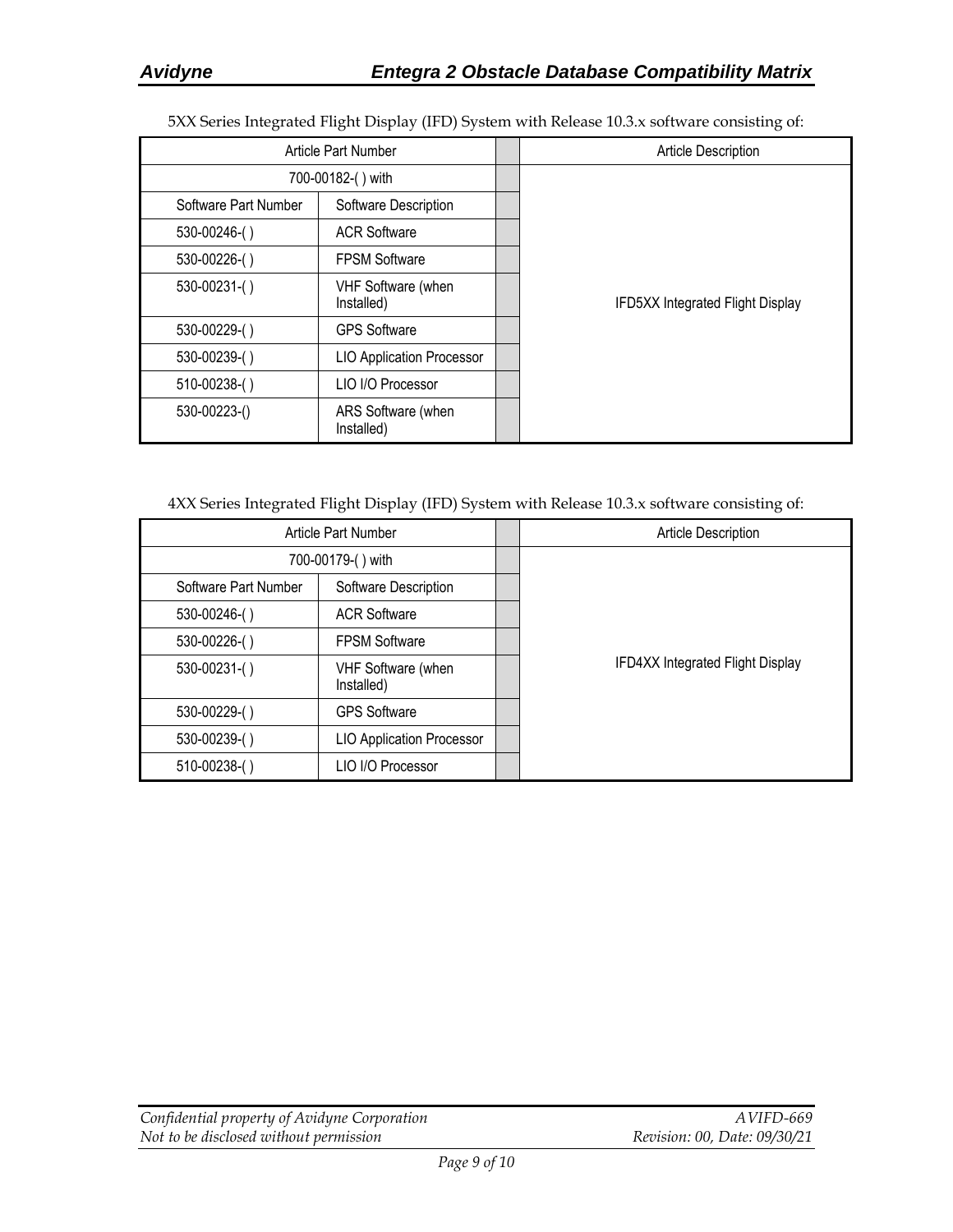5XX Series Integrated Flight Display (IFD) System with Release 10.3.x software consisting of:

|                      | Article Part Number              | <b>Article Description</b>              |
|----------------------|----------------------------------|-----------------------------------------|
|                      | 700-00182-() with                |                                         |
| Software Part Number | Software Description             |                                         |
| $530 - 00246$ ()     | <b>ACR Software</b>              |                                         |
| $530 - 00226$ -()    | <b>FPSM Software</b>             |                                         |
| $530 - 00231 - ( )$  | VHF Software (when<br>Installed) | <b>IFD5XX Integrated Flight Display</b> |
| 530-00229-()         | <b>GPS Software</b>              |                                         |
| 530-00239-()         | <b>LIO Application Processor</b> |                                         |
| 510-00238-()         | LIO I/O Processor                |                                         |
| 530-00223-()         | ARS Software (when<br>Installed) |                                         |

4XX Series Integrated Flight Display (IFD) System with Release 10.3.x software consisting of:

|                      | Article Part Number              | Article Description              |
|----------------------|----------------------------------|----------------------------------|
|                      | 700-00179-() with                |                                  |
| Software Part Number | Software Description             |                                  |
| 530-00246-()         | <b>ACR Software</b>              |                                  |
| 530-00226-()         | <b>FPSM Software</b>             |                                  |
| $530 - 00231 - ( )$  | VHF Software (when<br>Installed) | IFD4XX Integrated Flight Display |
| 530-00229-()         | <b>GPS Software</b>              |                                  |
| 530-00239-()         | <b>LIO Application Processor</b> |                                  |
| 510-00238-()         | LIO I/O Processor                |                                  |

| Confidential property of Avidyne Corporation | AVIFD-669                    |
|----------------------------------------------|------------------------------|
| Not to be disclosed without permission       | Revision: 00, Date: 09/30/21 |